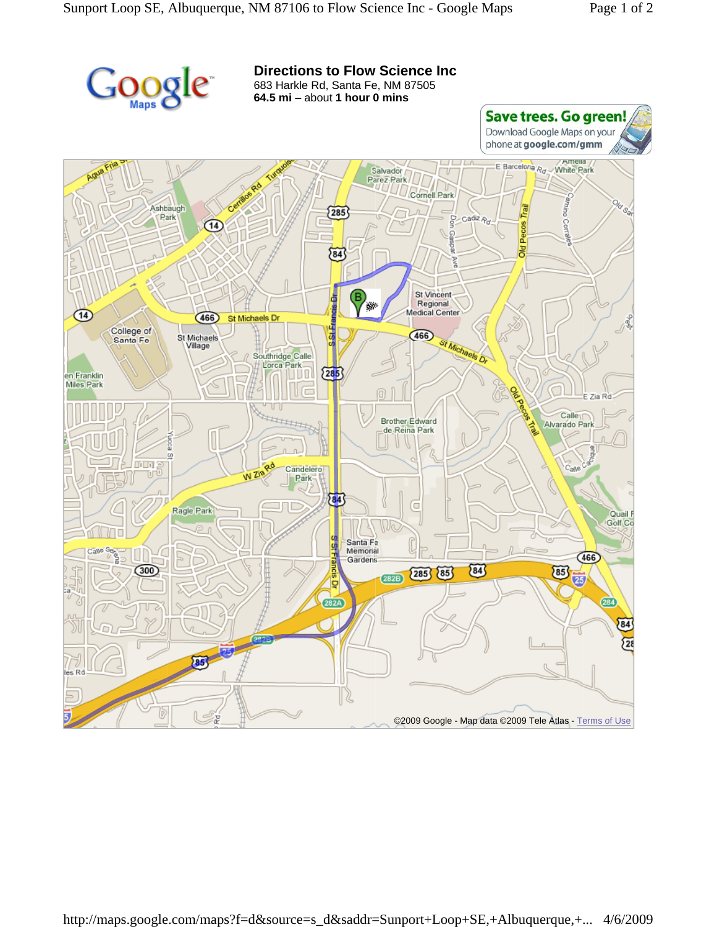